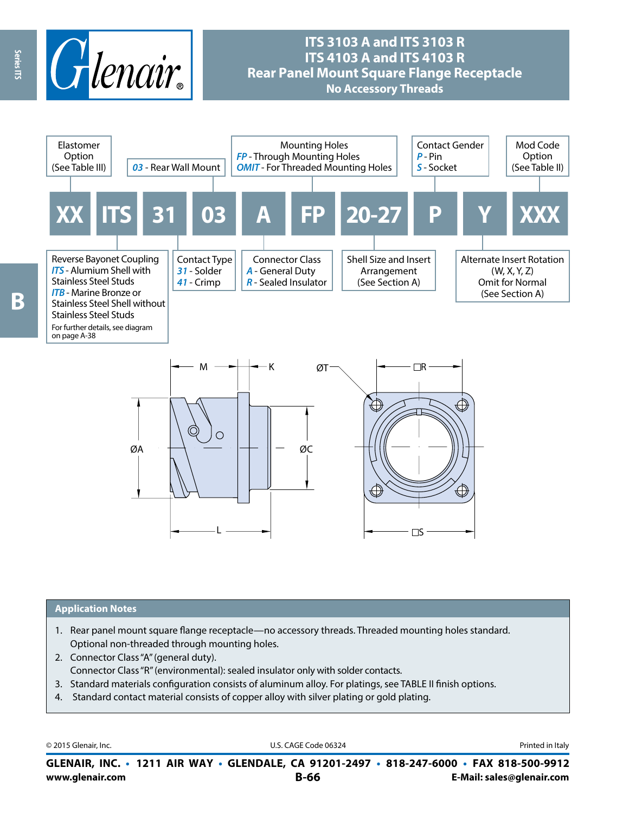

## **ITS 3103 A and ITS 3103 R ITS 4103 A and ITS 4103 R Rear Panel Mount Square Flange Receptacle No Accessory Threads**



#### **Application Notes**

- 1. Rear panel mount square flange receptacle—no accessory threads. Threaded mounting holes standard. Optional non-threaded through mounting holes.
- 2. Connector Class "A" (general duty). Connector Class "R" (environmental): sealed insulator only with solder contacts.
- 3. Standard materials configuration consists of aluminum alloy. For platings, see TABLE II finish options.
- 4. Standard contact material consists of copper alloy with silver plating or gold plating.

© 2015 Glenair, Inc. **Discription Construction Construction Construction Construction Construction Construction Construction Construction Construction Construction Construction Construction Construction Construction Constr** 

**www.glenair.com B-66 E-Mail: sales@glenair.com GLENAIR, INC. • 1211 AIR WAY • GLENDALE, CA 91201-2497 • 818-247-6000 • FAX 818-500-9912**